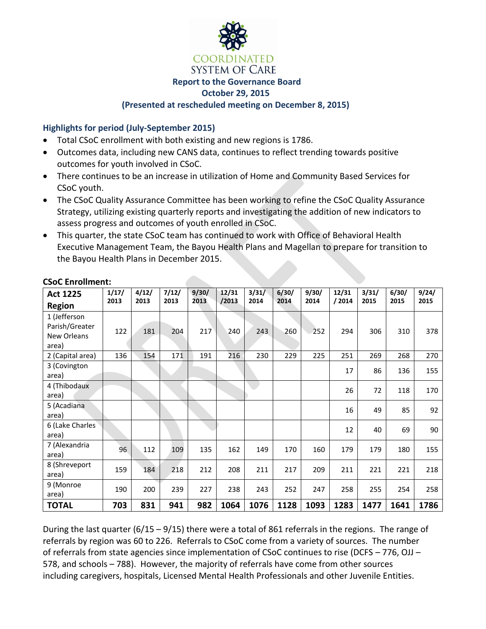

## **Highlights for period (July-September 2015)**

- Total CSoC enrollment with both existing and new regions is 1786.
- Outcomes data, including new CANS data, continues to reflect trending towards positive outcomes for youth involved in CSoC.
- There continues to be an increase in utilization of Home and Community Based Services for CSoC youth.
- The CSoC Quality Assurance Committee has been working to refine the CSoC Quality Assurance Strategy, utilizing existing quarterly reports and investigating the addition of new indicators to assess progress and outcomes of youth enrolled in CSoC.
- This quarter, the state CSoC team has continued to work with Office of Behavioral Health Executive Management Team, the Bayou Health Plans and Magellan to prepare for transition to the Bayou Health Plans in December 2015.

| <b>Act 1225</b>  | 1/17/ | 4/12/ | 7/12/ | 9/30/ | 12/31 | 3/31/ | 6/30/ | 9/30/ | 12/31 | 3/31/ | 6/30/ | 9/24/ |
|------------------|-------|-------|-------|-------|-------|-------|-------|-------|-------|-------|-------|-------|
| <b>Region</b>    | 2013  | 2013  | 2013  | 2013  | /2013 | 2014  | 2014  | 2014  | /2014 | 2015  | 2015  | 2015  |
| 1 (Jefferson     |       |       |       |       |       |       |       |       |       |       |       |       |
| Parish/Greater   | 122   | 181   | 204   | 217   | 240   | 243   | 260   | 252   | 294   | 306   | 310   | 378   |
| New Orleans      |       |       |       |       |       |       |       |       |       |       |       |       |
| area)            |       |       |       |       |       |       |       |       |       |       |       |       |
| 2 (Capital area) | 136   | 154   | 171   | 191   | 216   | 230   | 229   | 225   | 251   | 269   | 268   | 270   |
| 3 (Covington     |       |       |       |       |       |       |       |       | 17    | 86    | 136   | 155   |
| area)            |       |       |       |       |       |       |       |       |       |       |       |       |
| 4 (Thibodaux     |       |       |       |       |       |       |       |       | 26    | 72    | 118   | 170   |
| area)            |       |       |       |       |       |       |       |       |       |       |       |       |
| 5 (Acadiana      |       |       |       |       |       |       |       |       | 16    | 49    | 85    | 92    |
| area)            |       |       |       |       |       |       |       |       |       |       |       |       |
| 6 (Lake Charles) |       |       |       |       |       |       |       |       | 12    | 40    | 69    | 90    |
| area)            |       |       |       |       |       |       |       |       |       |       |       |       |
| 7 (Alexandria    | 96    | 112   | 109   | 135   | 162   | 149   | 170   | 160   | 179   | 179   | 180   | 155   |
| area)            |       |       |       |       |       |       |       |       |       |       |       |       |
| 8 (Shreveport    | 159   | 184   | 218   | 212   | 208   | 211   | 217   | 209   | 211   | 221   | 221   | 218   |
| area)            |       |       |       |       |       |       |       |       |       |       |       |       |
| 9 (Monroe        | 190   | 200   | 239   | 227   | 238   | 243   | 252   | 247   | 258   | 255   | 254   | 258   |
| area)            |       |       |       |       |       |       |       |       |       |       |       |       |
| <b>TOTAL</b>     | 703   | 831   | 941   | 982   | 1064  | 1076  | 1128  | 1093  | 1283  | 1477  | 1641  | 1786  |

#### **CSoC Enrollment:**

During the last quarter ( $6/15 - 9/15$ ) there were a total of 861 referrals in the regions. The range of referrals by region was 60 to 226. Referrals to CSoC come from a variety of sources. The number of referrals from state agencies since implementation of CSoC continues to rise (DCFS – 776, OJJ – 578, and schools – 788). However, the majority of referrals have come from other sources including caregivers, hospitals, Licensed Mental Health Professionals and other Juvenile Entities.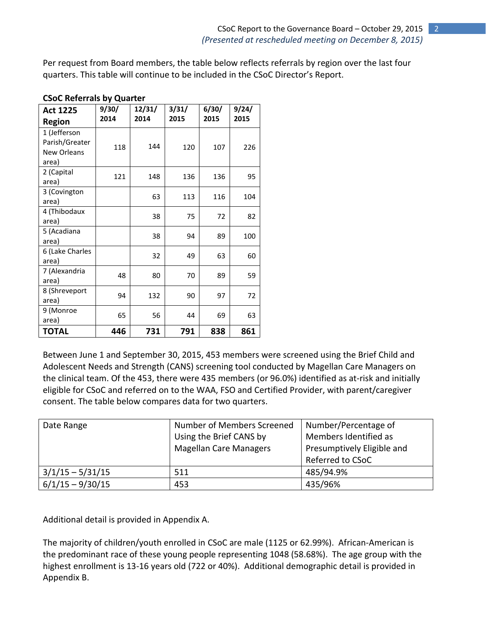Per request from Board members, the table below reflects referrals by region over the last four quarters. This table will continue to be included in the CSoC Director's Report.

| <b>Act 1225</b><br><b>Region</b>                       | 9/30/<br>2014 | 12/31/<br>2014 | 3/31/<br>2015 | 6/30/<br>2015 | 9/24/<br>2015 |
|--------------------------------------------------------|---------------|----------------|---------------|---------------|---------------|
| 1 (Jefferson<br>Parish/Greater<br>New Orleans<br>area) | 118           | 144            | 120           | 107           | 226           |
| 2 (Capital<br>area)                                    | 121           | 148            | 136           | 136           | 95            |
| 3 (Covington<br>area)                                  |               | 63             | 113           | 116           | 104           |
| 4 (Thibodaux<br>area)                                  |               | 38             | 75            | 72            | 82            |
| 5 (Acadiana<br>area)                                   |               | 38             | 94            | 89            | 100           |
| 6 (Lake Charles<br>area)                               |               | 32             | 49            | 63            | 60            |
| 7 (Alexandria<br>area)                                 | 48            | 80             | 70            | 89            | 59            |
| 8 (Shreveport<br>area)                                 | 94            | 132            | 90            | 97            | 72            |
| 9 (Monroe<br>area)                                     | 65            | 56             | 44            | 69            | 63            |
| <b>TOTAL</b>                                           | 446           | 731            | 791           | 838           | 861           |

## **CSoC Referrals by Quarter**

Between June 1 and September 30, 2015, 453 members were screened using the Brief Child and Adolescent Needs and Strength (CANS) screening tool conducted by Magellan Care Managers on the clinical team. Of the 453, there were 435 members (or 96.0%) identified as at-risk and initially eligible for CSoC and referred on to the WAA, FSO and Certified Provider, with parent/caregiver consent. The table below compares data for two quarters.

| Date Range         | Number of Members Screened    | Number/Percentage of       |
|--------------------|-------------------------------|----------------------------|
|                    | Using the Brief CANS by       | Members Identified as      |
|                    | <b>Magellan Care Managers</b> | Presumptively Eligible and |
|                    |                               | Referred to CSoC           |
| $3/1/15 - 5/31/15$ | 511                           | 485/94.9%                  |
| $6/1/15 - 9/30/15$ | 453                           | 435/96%                    |

Additional detail is provided in Appendix A.

The majority of children/youth enrolled in CSoC are male (1125 or 62.99%). African-American is the predominant race of these young people representing 1048 (58.68%). The age group with the highest enrollment is 13-16 years old (722 or 40%). Additional demographic detail is provided in Appendix B.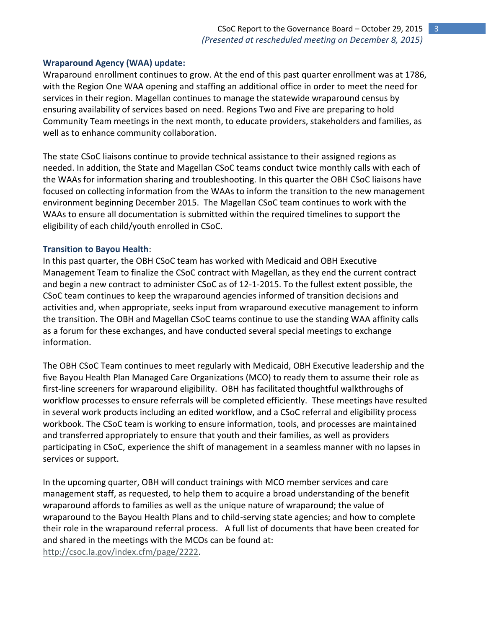## **Wraparound Agency (WAA) update:**

Wraparound enrollment continues to grow. At the end of this past quarter enrollment was at 1786, with the Region One WAA opening and staffing an additional office in order to meet the need for services in their region. Magellan continues to manage the statewide wraparound census by ensuring availability of services based on need. Regions Two and Five are preparing to hold Community Team meetings in the next month, to educate providers, stakeholders and families, as well as to enhance community collaboration.

The state CSoC liaisons continue to provide technical assistance to their assigned regions as needed. In addition, the State and Magellan CSoC teams conduct twice monthly calls with each of the WAAs for information sharing and troubleshooting. In this quarter the OBH CSoC liaisons have focused on collecting information from the WAAs to inform the transition to the new management environment beginning December 2015. The Magellan CSoC team continues to work with the WAAs to ensure all documentation is submitted within the required timelines to support the eligibility of each child/youth enrolled in CSoC.

## **Transition to Bayou Health**:

In this past quarter, the OBH CSoC team has worked with Medicaid and OBH Executive Management Team to finalize the CSoC contract with Magellan, as they end the current contract and begin a new contract to administer CSoC as of 12-1-2015. To the fullest extent possible, the CSoC team continues to keep the wraparound agencies informed of transition decisions and activities and, when appropriate, seeks input from wraparound executive management to inform the transition. The OBH and Magellan CSoC teams continue to use the standing WAA affinity calls as a forum for these exchanges, and have conducted several special meetings to exchange information.

The OBH CSoC Team continues to meet regularly with Medicaid, OBH Executive leadership and the five Bayou Health Plan Managed Care Organizations (MCO) to ready them to assume their role as first-line screeners for wraparound eligibility. OBH has facilitated thoughtful walkthroughs of workflow processes to ensure referrals will be completed efficiently. These meetings have resulted in several work products including an edited workflow, and a CSoC referral and eligibility process workbook. The CSoC team is working to ensure information, tools, and processes are maintained and transferred appropriately to ensure that youth and their families, as well as providers participating in CSoC, experience the shift of management in a seamless manner with no lapses in services or support.

In the upcoming quarter, OBH will conduct trainings with MCO member services and care management staff, as requested, to help them to acquire a broad understanding of the benefit wraparound affords to families as well as the unique nature of wraparound; the value of wraparound to the Bayou Health Plans and to child-serving state agencies; and how to complete their role in the wraparound referral process. A full list of documents that have been created for and shared in the meetings with the MCOs can be found at: [http://csoc.la.gov/index.cfm/page/2222.](http://csoc.la.gov/index.cfm/page/2222)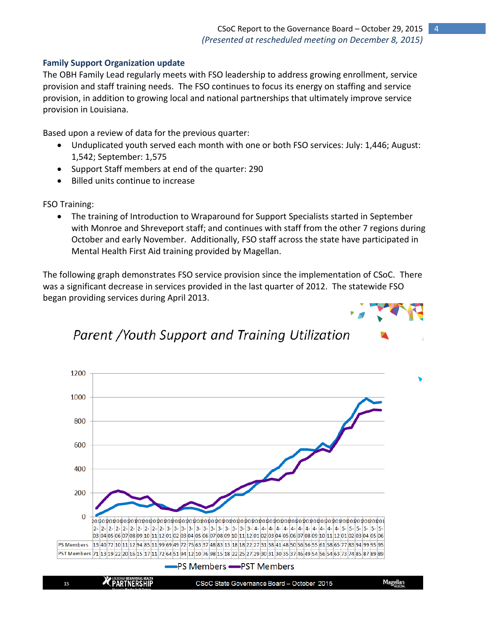## **Family Support Organization update**

The OBH Family Lead regularly meets with FSO leadership to address growing enrollment, service provision and staff training needs. The FSO continues to focus its energy on staffing and service provision, in addition to growing local and national partnerships that ultimately improve service provision in Louisiana.

Based upon a review of data for the previous quarter:

- Unduplicated youth served each month with one or both FSO services: July: 1,446; August: 1,542; September: 1,575
- Support Staff members at end of the quarter: 290
- Billed units continue to increase

FSO Training:

 The training of Introduction to Wraparound for Support Specialists started in September with Monroe and Shreveport staff; and continues with staff from the other 7 regions during October and early November. Additionally, FSO staff across the state have participated in Mental Health First Aid training provided by Magellan.

The following graph demonstrates FSO service provision since the implementation of CSoC. There was a significant decrease in services provided in the last quarter of 2012. The statewide FSO began providing services during April 2013.



# Parent /Youth Support and Training Utilization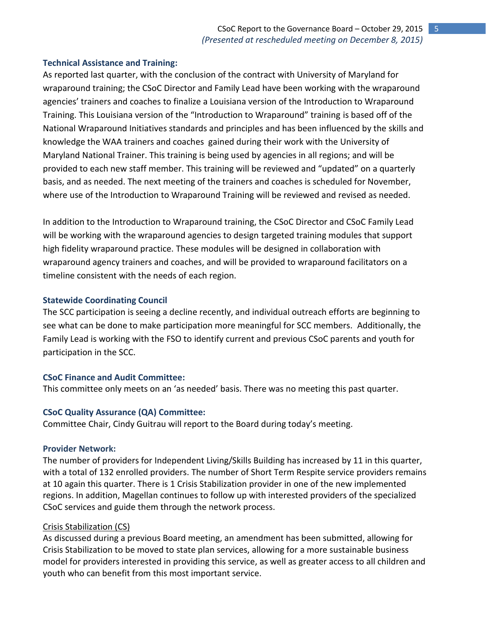## **Technical Assistance and Training:**

As reported last quarter, with the conclusion of the contract with University of Maryland for wraparound training; the CSoC Director and Family Lead have been working with the wraparound agencies' trainers and coaches to finalize a Louisiana version of the Introduction to Wraparound Training. This Louisiana version of the "Introduction to Wraparound" training is based off of the National Wraparound Initiatives standards and principles and has been influenced by the skills and knowledge the WAA trainers and coaches gained during their work with the University of Maryland National Trainer. This training is being used by agencies in all regions; and will be provided to each new staff member. This training will be reviewed and "updated" on a quarterly basis, and as needed. The next meeting of the trainers and coaches is scheduled for November, where use of the Introduction to Wraparound Training will be reviewed and revised as needed.

In addition to the Introduction to Wraparound training, the CSoC Director and CSoC Family Lead will be working with the wraparound agencies to design targeted training modules that support high fidelity wraparound practice. These modules will be designed in collaboration with wraparound agency trainers and coaches, and will be provided to wraparound facilitators on a timeline consistent with the needs of each region.

## **Statewide Coordinating Council**

The SCC participation is seeing a decline recently, and individual outreach efforts are beginning to see what can be done to make participation more meaningful for SCC members. Additionally, the Family Lead is working with the FSO to identify current and previous CSoC parents and youth for participation in the SCC.

## **CSoC Finance and Audit Committee:**

This committee only meets on an 'as needed' basis. There was no meeting this past quarter.

## **CSoC Quality Assurance (QA) Committee:**

Committee Chair, Cindy Guitrau will report to the Board during today's meeting.

#### **Provider Network:**

The number of providers for Independent Living/Skills Building has increased by 11 in this quarter, with a total of 132 enrolled providers. The number of Short Term Respite service providers remains at 10 again this quarter. There is 1 Crisis Stabilization provider in one of the new implemented regions. In addition, Magellan continues to follow up with interested providers of the specialized CSoC services and guide them through the network process.

## Crisis Stabilization (CS)

As discussed during a previous Board meeting, an amendment has been submitted, allowing for Crisis Stabilization to be moved to state plan services, allowing for a more sustainable business model for providers interested in providing this service, as well as greater access to all children and youth who can benefit from this most important service.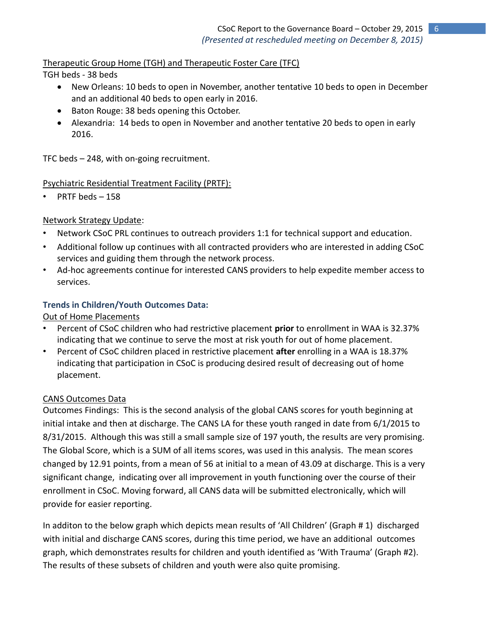Therapeutic Group Home (TGH) and Therapeutic Foster Care (TFC)

TGH beds - 38 beds

- New Orleans: 10 beds to open in November, another tentative 10 beds to open in December and an additional 40 beds to open early in 2016.
- Baton Rouge: 38 beds opening this October.
- Alexandria: 14 beds to open in November and another tentative 20 beds to open in early 2016.

TFC beds – 248, with on-going recruitment.

## Psychiatric Residential Treatment Facility (PRTF):

PRTF beds - 158

## Network Strategy Update:

- Network CSoC PRL continues to outreach providers 1:1 for technical support and education.
- Additional follow up continues with all contracted providers who are interested in adding CSoC services and guiding them through the network process.
- Ad-hoc agreements continue for interested CANS providers to help expedite member access to services.

## **Trends in Children/Youth Outcomes Data:**

## Out of Home Placements

- Percent of CSoC children who had restrictive placement **prior** to enrollment in WAA is 32.37% indicating that we continue to serve the most at risk youth for out of home placement.
- Percent of CSoC children placed in restrictive placement **after** enrolling in a WAA is 18.37% indicating that participation in CSoC is producing desired result of decreasing out of home placement.

## CANS Outcomes Data

Outcomes Findings: This is the second analysis of the global CANS scores for youth beginning at initial intake and then at discharge. The CANS LA for these youth ranged in date from 6/1/2015 to 8/31/2015. Although this was still a small sample size of 197 youth, the results are very promising. The Global Score, which is a SUM of all items scores, was used in this analysis. The mean scores changed by 12.91 points, from a mean of 56 at initial to a mean of 43.09 at discharge. This is a very significant change, indicating over all improvement in youth functioning over the course of their enrollment in CSoC. Moving forward, all CANS data will be submitted electronically, which will provide for easier reporting.

In additon to the below graph which depicts mean results of 'All Children' (Graph # 1) discharged with initial and discharge CANS scores, during this time period, we have an additional outcomes graph, which demonstrates results for children and youth identified as 'With Trauma' (Graph #2). The results of these subsets of children and youth were also quite promising.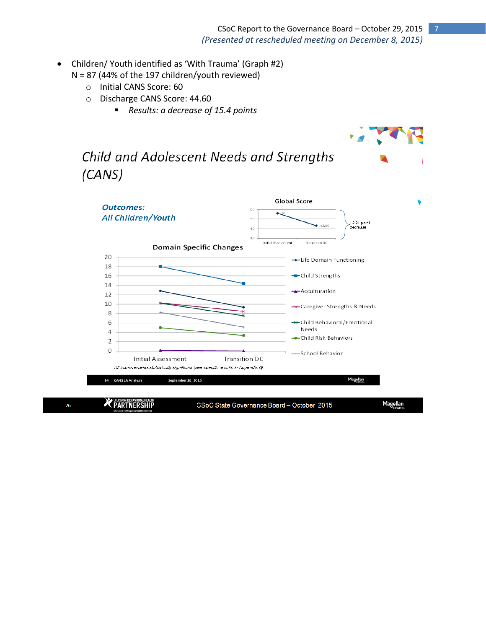- Children/ Youth identified as 'With Trauma' (Graph #2)
	- N = 87 (44% of the 197 children/youth reviewed)
		- o Initial CANS Score: 60
		- o Discharge CANS Score: 44.60
			- *Results: a decrease of 15.4 points*

# Child and Adolescent Needs and Strengths  $(CANS)$



26

CSoC State Governance Board - October 2015

Magellan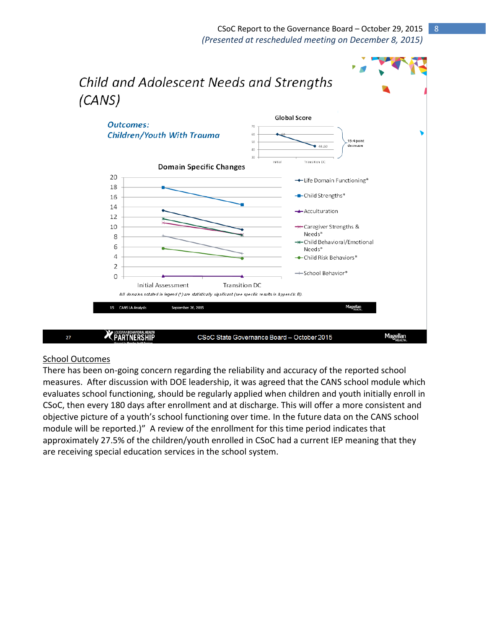## CSoC Report to the Governance Board – October 29, 2015 8 *(Presented at rescheduled meeting on December 8, 2015)*



#### School Outcomes

There has been on-going concern regarding the reliability and accuracy of the reported school measures. After discussion with DOE leadership, it was agreed that the CANS school module which evaluates school functioning, should be regularly applied when children and youth initially enroll in CSoC, then every 180 days after enrollment and at discharge. This will offer a more consistent and objective picture of a youth's school functioning over time. In the future data on the CANS school module will be reported.)" A review of the enrollment for this time period indicates that approximately 27.5% of the children/youth enrolled in CSoC had a current IEP meaning that they are receiving special education services in the school system.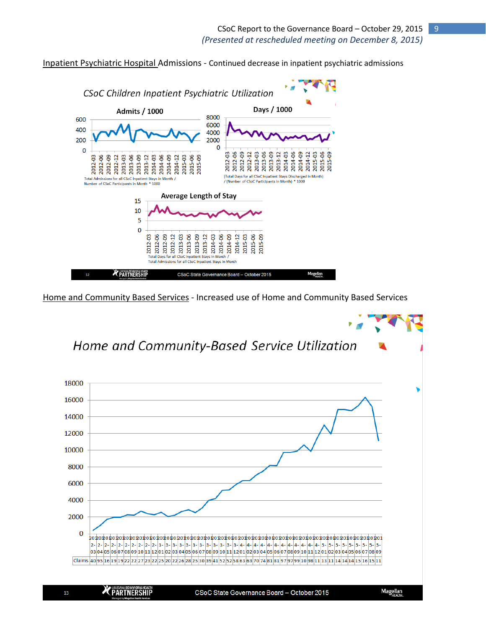

Inpatient Psychiatric Hospital Admissions - Continued decrease in inpatient psychiatric admissions

Home and Community Based Services - Increased use of Home and Community Based Services

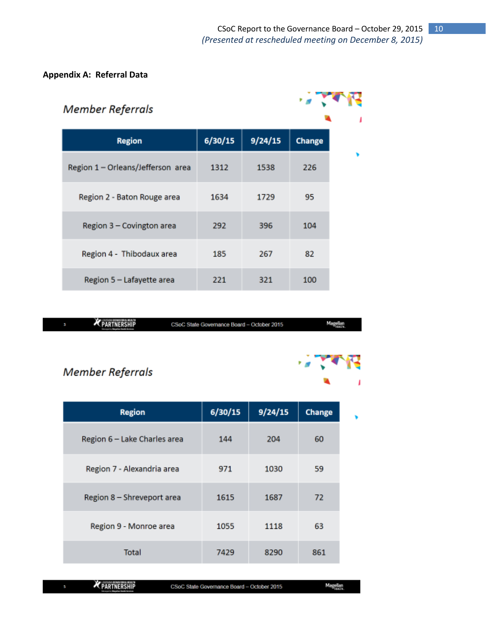## **Appendix A: Referral Data**

| <b>Member Referrals</b>           |         |         |               |  |
|-----------------------------------|---------|---------|---------------|--|
| <b>Region</b>                     | 6/30/15 | 9/24/15 | <b>Change</b> |  |
| Region 1 - Orleans/Jefferson area | 1312    | 1538    | 226           |  |
| Region 2 - Baton Rouge area       | 1634    | 1729    | 95            |  |
| Region 3 - Covington area         | 292     | 396     | 104           |  |
| Region 4 - Thibodaux area         | 185     | 267     | 82            |  |
| Region 5 - Lafayette area         | 221     | 321     | 100           |  |

|  | <b>We Income as anyone allows</b><br>PARTNERSHIP<br><b>Managerity Magazine Magazine Arryings</b> | CSoC State Governance Board - October 2015 | Magellan |
|--|--------------------------------------------------------------------------------------------------|--------------------------------------------|----------|
|--|--------------------------------------------------------------------------------------------------|--------------------------------------------|----------|

# Member Referrals

| <b>Region</b>                | 6/30/15 | 9/24/15 | <b>Change</b> |
|------------------------------|---------|---------|---------------|
| Region 6 - Lake Charles area | 144     | 204     | 60            |
| Region 7 - Alexandria area   | 971     | 1030    | 59            |
| Region 8 - Shreveport area   | 1615    | 1687    | 72            |
| Region 9 - Monroe area       | 1055    | 1118    | 63            |
| Total                        | 7429    | 8290    | 861           |

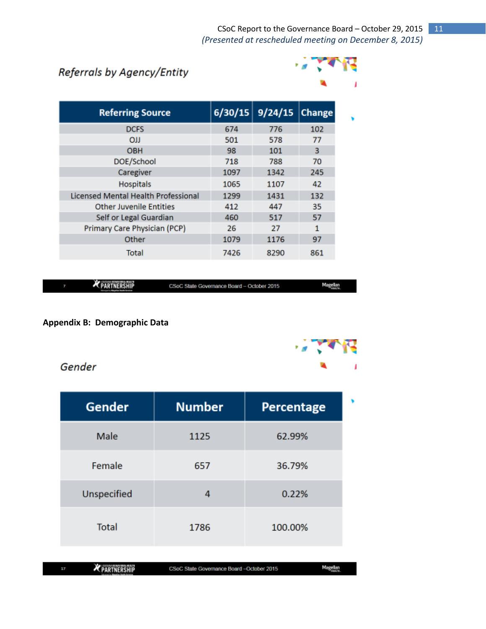# Referrals by Agency/Entity



| <b>Referring Source</b>             | 6/30/15 | 9/24/15 | <b>Change</b> |  |
|-------------------------------------|---------|---------|---------------|--|
| <b>DCFS</b>                         | 674     | 776     | 102           |  |
| <b>OJJ</b>                          | 501     | 578     | 77            |  |
| <b>OBH</b>                          | 98      | 101     | з             |  |
| DOE/School                          | 718     | 788     | 70            |  |
| Caregiver                           | 1097    | 1342    | 245           |  |
| <b>Hospitals</b>                    | 1065    | 1107    | 42            |  |
| Licensed Mental Health Professional | 1299    | 1431    | 132           |  |
| <b>Other Juvenile Entities</b>      | 412     | 447     | 35            |  |
| Self or Legal Guardian              | 460     | 517     | 57            |  |
| Primary Care Physician (PCP)        | 26      | 27      | 1             |  |
| Other                               | 1079    | 1176    | 97            |  |
| Total                               | 7426    | 8290    | 861           |  |

PARTNERSHIP

CSoC State Governance Board - October 2015

## **Appendix B: Demographic Data**



Magellan

Gender

| Gender      | <b>Number</b> | Percentage | ۰ |
|-------------|---------------|------------|---|
| Male        | 1125          | 62.99%     |   |
| Female      | 657           | 36.79%     |   |
| Unspecified | 4             | 0.22%      |   |
| Total       | 1786          | 100.00%    |   |